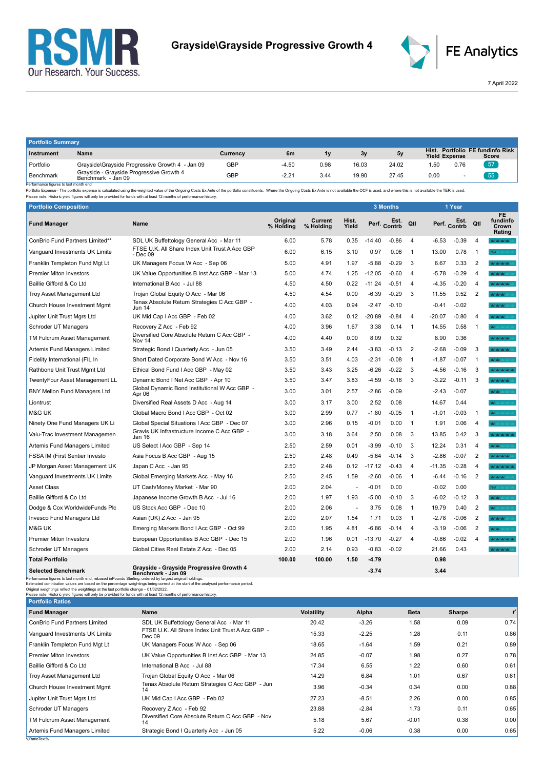



7 April 2022

| <b>Portfolio Summary</b> |                                                                |            |         |      |       |       |                      |      |                                           |  |
|--------------------------|----------------------------------------------------------------|------------|---------|------|-------|-------|----------------------|------|-------------------------------------------|--|
| Instrument               | Name                                                           | Currency   | 6m      | 1v   | 3v    | 5v    | <b>Yield Expense</b> |      | Hist. Portfolio FE fundinfo Risk<br>Score |  |
| Portfolio                | Grayside\Grayside Progressive Growth 4 - Jan 09                | <b>GBP</b> | $-4.50$ | 0.98 | 16.03 | 24.02 | .50                  | 0.76 | 57                                        |  |
| Benchmark<br>.           | Grayside - Grayside Progressive Growth 4<br>Benchmark - Jan 09 | GBP        | $-2.21$ | 3.44 | 19.90 | 27.45 | 0.00                 |      | 55                                        |  |

Benchmark Benchmark Benchmark - Jan 09<br>- Performance figures is last month end<br>- Performance figures is alst month end benchmark - Jan 09 Benchmark - Jan 09 Benchmark - Jan 09 Benchmark - Jan 09 Benchmark - Jan 09 Benchmar

| <b>Portfolio Composition</b>          |                                                            |                       |                      |                |          | <b>3 Months</b>      |                |          | 1 Year               |                |                                    |
|---------------------------------------|------------------------------------------------------------|-----------------------|----------------------|----------------|----------|----------------------|----------------|----------|----------------------|----------------|------------------------------------|
| <b>Fund Manager</b>                   | <b>Name</b>                                                | Original<br>% Holding | Current<br>% Holding | Hist.<br>Yield |          | Est.<br>Perf. Contrb | Qtl            |          | Est.<br>Perf. Contrb | Qtl            | FE.<br>fundinfo<br>Crown<br>Rating |
| ConBrio Fund Partners Limited**       | SDL UK Buffettology General Acc - Mar 11                   | 6.00                  | 5.78                 | 0.35           | $-14.40$ | $-0.86$              | 4              | $-6.53$  | $-0.39$              | $\overline{4}$ | MOM MOM MO                         |
| Vanguard Investments UK Limite        | FTSE U.K. All Share Index Unit Trust A Acc GBP<br>- Dec 09 | 6.00                  | 6.15                 | 3.10           | 0.97     | 0.06                 | $\overline{1}$ | 13.00    | 0.78                 | $\overline{1}$ | N/A                                |
| Franklin Templeton Fund Mgt Lt        | UK Managers Focus W Acc - Sep 06                           | 5.00                  | 4.91                 | 1.97           | $-5.88$  | $-0.29$              | 3              | 6.67     | 0.33                 | $\overline{2}$ | Man Man Man Man 199                |
| <b>Premier Miton Investors</b>        | UK Value Opportunities B Inst Acc GBP - Mar 13             | 5.00                  | 4.74                 | 1.25           | $-12.05$ | $-0.60$              | $\overline{4}$ | $-5.78$  | $-0.29$              | $\overline{4}$ | MOMORATIC                          |
| Baillie Gifford & Co Ltd              | International B Acc - Jul 88                               | 4.50                  | 4.50                 | 0.22           | $-11.24$ | $-0.51$              | $\overline{4}$ | $-4.35$  | $-0.20$              | $\overline{4}$ | Mar Mar Mar Mar III                |
| Troy Asset Management Ltd             | Trojan Global Equity O Acc - Mar 06                        | 4.50                  | 4.54                 | 0.00           | $-6.39$  | $-0.29$              | 3              | 11.55    | 0.52                 | $\overline{2}$ | <b>WOM WORK</b>                    |
| Church House Investment Mgmt          | Tenax Absolute Return Strategies C Acc GBP -<br>Jun 14     | 4.00                  | 4.03                 | 0.94           | $-2.47$  | $-0.10$              |                | $-0.41$  | $-0.02$              |                | Mar Mar Mar 1993                   |
| Jupiter Unit Trust Mgrs Ltd           | UK Mid Cap I Acc GBP - Feb 02                              | 4.00                  | 3.62                 | 0.12           | $-20.89$ | $-0.84$              | $\overline{4}$ | $-20.07$ | $-0.80$              | $\overline{4}$ | <b>MOMOR MORE STATE</b>            |
| Schroder UT Managers                  | Recovery Z Acc - Feb 92                                    | 4.00                  | 3.96                 | 1.67           | 3.38     | 0.14                 | $\overline{1}$ | 14.55    | 0.58                 | $\overline{1}$ | <b>MC MC VAC VAC VA</b>            |
| TM Fulcrum Asset Management           | Diversified Core Absolute Return C Acc GBP -<br>Nov 14     | 4.00                  | 4.40                 | 0.00           | 8.09     | 0.32                 |                | 8.90     | 0.36                 |                | <b>MOMENTAL MARKET</b>             |
| Artemis Fund Managers Limited         | Strategic Bond I Quarterly Acc - Jun 05                    | 3.50                  | 3.49                 | 2.44           | $-3.83$  | $-0.13$              | $\overline{2}$ | $-2.68$  | $-0.09$              | 3              | <b>Mar Mar Mar Mar 11</b>          |
| Fidelity International (FIL In        | Short Dated Corporate Bond W Acc - Nov 16                  | 3.50                  | 3.51                 | 4.03           | $-2.31$  | $-0.08$              | $\overline{1}$ | $-1.87$  | $-0.07$              | $\overline{1}$ | <b>MOMENTO</b>                     |
| Rathbone Unit Trust Mgmt Ltd          | Ethical Bond Fund I Acc GBP - May 02                       | 3.50                  | 3.43                 | 3.25           | $-6.26$  | $-0.22$              | 3              | $-4.56$  | $-0.16$              | 3              | <b>WOM WORK</b>                    |
| TwentyFour Asset Management LL        | Dynamic Bond I Net Acc GBP - Apr 10                        | 3.50                  | 3.47                 | 3.83           | $-4.59$  | $-0.16$              | 3              | $-3.22$  | $-0.11$              | 3              | MOMORADO MARCO                     |
| <b>BNY Mellon Fund Managers Ltd</b>   | Global Dynamic Bond Institutional W Acc GBP -<br>Apr 06    | 3.00                  | 3.01                 | 2.57           | $-2.86$  | $-0.09$              |                | -2.43    | $-0.07$              |                | MOMOROUS                           |
| Liontrust                             | Diversified Real Assets D Acc - Aug 14                     | 3.00                  | 3.17                 | 3.00           | 2.52     | 0.08                 |                | 14.67    | 0.44                 |                | Mr Mr Mar Sherwar                  |
| M&G UK                                | Global Macro Bond I Acc GBP - Oct 02                       | 3.00                  | 2.99                 | 0.77           | $-1.80$  | $-0.05$              | $\overline{1}$ | $-1.01$  | $-0.03$              | $\overline{1}$ | <b>MAY</b> MAY VAY VALUA           |
| Ninety One Fund Managers UK Li        | Global Special Situations I Acc GBP - Dec 07               | 3.00                  | 2.96                 | 0.15           | $-0.01$  | 0.00                 | $\overline{1}$ | 1.91     | 0.06                 | $\overline{4}$ | <b>MC</b> MC MC WAS SAFE           |
| Valu-Trac Investment Managemen        | Gravis UK Infrastructure Income C Acc GBP -<br>Jan 16      | 3.00                  | 3.18                 | 3.64           | 2.50     | 0.08                 | 3              | 13.85    | 0.42                 | 3              | <b>Northern Marinese</b>           |
| Artemis Fund Managers Limited         | US Select I Acc GBP - Sep 14                               | 2.50                  | 2.59                 | 0.01           | $-3.99$  | $-0.10$              | 3              | 12.24    | 0.31                 | $\overline{4}$ | <b>MOMENT CONTRACT</b>             |
| <b>FSSA IM (First Sentier Investo</b> | Asia Focus B Acc GBP - Aug 15                              | 2.50                  | 2.48                 | 0.49           | $-5.64$  | $-0.14$              | 3              | $-2.86$  | $-0.07$              | $\overline{2}$ | MOVAL MOVALES                      |
| JP Morgan Asset Management UK         | Japan C Acc - Jan 95                                       | 2.50                  | 2.48                 | 0.12           | $-17.12$ | $-0.43$              | $\overline{4}$ | $-11.35$ | $-0.28$              | $\overline{4}$ | <b>Northern Marinese</b>           |
| Vanguard Investments UK Limite        | Global Emerging Markets Acc - May 16                       | 2.50                  | 2.45                 | 1.59           | $-2.60$  | $-0.06$              | $\overline{1}$ | -6.44    | $-0.16$              | $\overline{2}$ | <b>WASHING</b>                     |
| <b>Asset Class</b>                    | UT Cash/Money Market - Mar 90                              | 2.00                  | 2.04                 | ÷,             | $-0.01$  | 0.00                 |                | $-0.02$  | 0.00                 |                | N/A MAY YAY YAY                    |
| Baillie Gifford & Co Ltd              | Japanese Income Growth B Acc - Jul 16                      | 2.00                  | 1.97                 | 1.93           | $-5.00$  | $-0.10$              | 3              | $-6.02$  | $-0.12$              | 3              | MOMOR WAS SIMILARD                 |
| Dodge & Cox WorldwideFunds Plc        | US Stock Acc GBP - Dec 10                                  | 2.00                  | 2.06                 | ÷.             | 3.75     | 0.08                 | $\overline{1}$ | 19.79    | 0.40                 | 2              | MAY 14Y 14Y 14Y 14Y                |
| Invesco Fund Managers Ltd             | Asian (UK) Z Acc - Jan 95                                  | 2.00                  | 2.07                 | 1.54           | 1.71     | 0.03                 | $\overline{1}$ | -2.78    | $-0.06$              | $\overline{2}$ | MOMORATIC                          |
| M&G UK                                | Emerging Markets Bond I Acc GBP - Oct 99                   | 2.00                  | 1.95                 | 4.81           | $-6.86$  | $-0.14$              | $\overline{4}$ | $-3.19$  | $-0.06$              | $\overline{2}$ | <b>WAY</b>                         |
| <b>Premier Miton Investors</b>        | European Opportunities B Acc GBP - Dec 15                  | 2.00                  | 1.96                 | 0.01           | $-13.70$ | $-0.27$              | -4             | $-0.86$  | $-0.02$              | $\overline{4}$ | <b>Northern Marinese</b>           |
| Schroder UT Managers                  | Global Cities Real Estate Z Acc - Dec 05                   | 2.00                  | 2.14                 | 0.93           | $-0.83$  | $-0.02$              |                | 21.66    | 0.43                 |                | <b>MOTHER MAY WAY</b>              |
| <b>Total Portfolio</b>                |                                                            | 100.00                | 100.00               | 1.50           | $-4.79$  |                      |                | 0.98     |                      |                |                                    |
| Soloctod Ronchmark                    | Grayside - Grayside Progressive Growth 4                   |                       |                      |                | 271      |                      |                | 211      |                      |                |                                    |

| <b>Selected Benchmark</b>                                                                                                                                                                                                                                                                                               | Grayside - Grayside Progressive Growth 4<br>Benchmark - Jan 09                                                                      |                   | $-3.74$ |             | 3.44   |       |
|-------------------------------------------------------------------------------------------------------------------------------------------------------------------------------------------------------------------------------------------------------------------------------------------------------------------------|-------------------------------------------------------------------------------------------------------------------------------------|-------------------|---------|-------------|--------|-------|
| Performance figures to last month end, rebased inPounds Sterling, ordered by largest original holdings.<br>Original weightings reflect the weightings at the last portfolio change - 01/02/2022.<br>Please note: Historic yield figures will only be provided for funds with at least 12 months of performance history. | Estimated contribution values are based on the percentage weightings being correct at the start of the analysed performance period. |                   |         |             |        |       |
| <b>Portfolio Ratios</b>                                                                                                                                                                                                                                                                                                 |                                                                                                                                     |                   |         |             |        |       |
| <b>Fund Manager</b>                                                                                                                                                                                                                                                                                                     | Name                                                                                                                                | <b>Volatility</b> | Alpha   | <b>Beta</b> | Sharpe | $r^2$ |
| <b>ConBrio Fund Partners Limited</b>                                                                                                                                                                                                                                                                                    | SDL UK Buffettology General Acc - Mar 11                                                                                            | 20.42             | $-3.26$ | 1.58        | 0.09   | 0.74  |
| Vanguard Investments UK Limite                                                                                                                                                                                                                                                                                          | FTSE U.K. All Share Index Unit Trust A Acc GBP -<br>Dec 09                                                                          | 15.33             | $-2.25$ | 1.28        | 0.11   | 0.86  |
| Franklin Templeton Fund Mgt Lt                                                                                                                                                                                                                                                                                          | UK Managers Focus W Acc - Sep 06                                                                                                    | 18.65             | $-1.64$ | 1.59        | 0.21   | 0.89  |
| <b>Premier Miton Investors</b>                                                                                                                                                                                                                                                                                          | UK Value Opportunities B Inst Acc GBP - Mar 13                                                                                      | 24.85             | $-0.07$ | 1.98        | 0.27   | 0.78  |
| Baillie Gifford & Co Ltd                                                                                                                                                                                                                                                                                                | International B Acc - Jul 88                                                                                                        | 17.34             | 6.55    | 1.22        | 0.60   | 0.61  |
| Troy Asset Management Ltd                                                                                                                                                                                                                                                                                               | Trojan Global Equity O Acc - Mar 06                                                                                                 | 14.29             | 6.84    | 1.01        | 0.67   | 0.61  |
| Church House Investment Mgmt                                                                                                                                                                                                                                                                                            | Tenax Absolute Return Strategies C Acc GBP - Jun<br>14                                                                              | 3.96              | $-0.34$ | 0.34        | 0.00   | 0.88  |
| Jupiter Unit Trust Mgrs Ltd                                                                                                                                                                                                                                                                                             | UK Mid Cap I Acc GBP - Feb 02                                                                                                       | 27.23             | $-8.51$ | 2.26        | 0.00   | 0.85  |
| Schroder UT Managers                                                                                                                                                                                                                                                                                                    | Recovery Z Acc - Feb 92                                                                                                             | 23.88             | $-2.84$ | 1.73        | 0.11   | 0.65  |
| TM Fulcrum Asset Management                                                                                                                                                                                                                                                                                             | Diversified Core Absolute Return C Acc GBP - Nov<br>14                                                                              | 5.18              | 5.67    | $-0.01$     | 0.38   | 0.00  |
| Artemis Fund Managers Limited                                                                                                                                                                                                                                                                                           | Strategic Bond I Quarterly Acc - Jun 05                                                                                             | 5.22              | $-0.06$ | 0.38        | 0.00   | 0.65  |
| %RatioText%                                                                                                                                                                                                                                                                                                             |                                                                                                                                     |                   |         |             |        |       |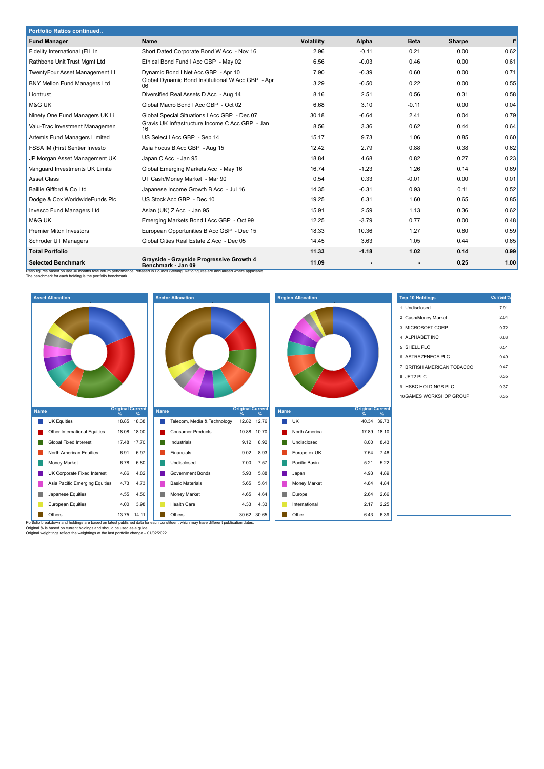| <b>Portfolio Ratios continued</b>   |                                                                                                                                                                                                              |                   |                |             |        |       |
|-------------------------------------|--------------------------------------------------------------------------------------------------------------------------------------------------------------------------------------------------------------|-------------------|----------------|-------------|--------|-------|
| <b>Fund Manager</b>                 | <b>Name</b>                                                                                                                                                                                                  | <b>Volatility</b> | Alpha          | <b>Beta</b> | Sharpe | $r^2$ |
| Fidelity International (FIL In      | Short Dated Corporate Bond W Acc - Nov 16                                                                                                                                                                    | 2.96              | $-0.11$        | 0.21        | 0.00   | 0.62  |
| Rathbone Unit Trust Mgmt Ltd        | Ethical Bond Fund I Acc GBP - May 02                                                                                                                                                                         | 6.56              | $-0.03$        | 0.46        | 0.00   | 0.61  |
| TwentyFour Asset Management LL      | Dynamic Bond I Net Acc GBP - Apr 10                                                                                                                                                                          | 7.90              | $-0.39$        | 0.60        | 0.00   | 0.71  |
| <b>BNY Mellon Fund Managers Ltd</b> | Global Dynamic Bond Institutional W Acc GBP - Apr<br>06                                                                                                                                                      | 3.29              | $-0.50$        | 0.22        | 0.00   | 0.55  |
| Liontrust                           | Diversified Real Assets D Acc - Aug 14                                                                                                                                                                       | 8.16              | 2.51           | 0.56        | 0.31   | 0.58  |
| M&G UK                              | Global Macro Bond I Acc GBP - Oct 02                                                                                                                                                                         | 6.68              | 3.10           | $-0.11$     | 0.00   | 0.04  |
| Ninety One Fund Managers UK Li      | Global Special Situations I Acc GBP - Dec 07                                                                                                                                                                 | 30.18             | $-6.64$        | 2.41        | 0.04   | 0.79  |
| Valu-Trac Investment Managemen      | Gravis UK Infrastructure Income C Acc GBP - Jan<br>16                                                                                                                                                        | 8.56              | 3.36           | 0.62        | 0.44   | 0.64  |
| Artemis Fund Managers Limited       | US Select I Acc GBP - Sep 14                                                                                                                                                                                 | 15.17             | 9.73           | 1.06        | 0.85   | 0.60  |
| FSSA IM (First Sentier Investo      | Asia Focus B Acc GBP - Aug 15                                                                                                                                                                                | 12.42             | 2.79           | 0.88        | 0.38   | 0.62  |
| JP Morgan Asset Management UK       | Japan C Acc - Jan 95                                                                                                                                                                                         | 18.84             | 4.68           | 0.82        | 0.27   | 0.23  |
| Vanguard Investments UK Limite      | Global Emerging Markets Acc - May 16                                                                                                                                                                         | 16.74             | $-1.23$        | 1.26        | 0.14   | 0.69  |
| <b>Asset Class</b>                  | UT Cash/Money Market - Mar 90                                                                                                                                                                                | 0.54              | 0.33           | $-0.01$     | 0.00   | 0.01  |
| Baillie Gifford & Co Ltd            | Japanese Income Growth B Acc - Jul 16                                                                                                                                                                        | 14.35             | $-0.31$        | 0.93        | 0.11   | 0.52  |
| Dodge & Cox WorldwideFunds Plc      | US Stock Acc GBP - Dec 10                                                                                                                                                                                    | 19.25             | 6.31           | 1.60        | 0.65   | 0.85  |
| Invesco Fund Managers Ltd           | Asian (UK) Z Acc - Jan 95                                                                                                                                                                                    | 15.91             | 2.59           | 1.13        | 0.36   | 0.62  |
| M&G UK                              | Emerging Markets Bond I Acc GBP - Oct 99                                                                                                                                                                     | 12.25             | $-3.79$        | 0.77        | 0.00   | 0.48  |
| <b>Premier Miton Investors</b>      | European Opportunities B Acc GBP - Dec 15                                                                                                                                                                    | 18.33             | 10.36          | 1.27        | 0.80   | 0.59  |
| Schroder UT Managers                | Global Cities Real Estate Z Acc - Dec 05                                                                                                                                                                     | 14.45             | 3.63           | 1.05        | 0.44   | 0.65  |
| <b>Total Portfolio</b>              |                                                                                                                                                                                                              | 11.33             | $-1.18$        | 1.02        | 0.14   | 0.99  |
| <b>Selected Benchmark</b>           | Grayside - Grayside Progressive Growth 4<br>Benchmark - Jan 09<br>Ratio figures based on last 36 months total return performance, rebased in Pounds Sterling. Ratio figures are annualised where applicable. | 11.09             | $\blacksquare$ |             | 0.25   | 1.00  |